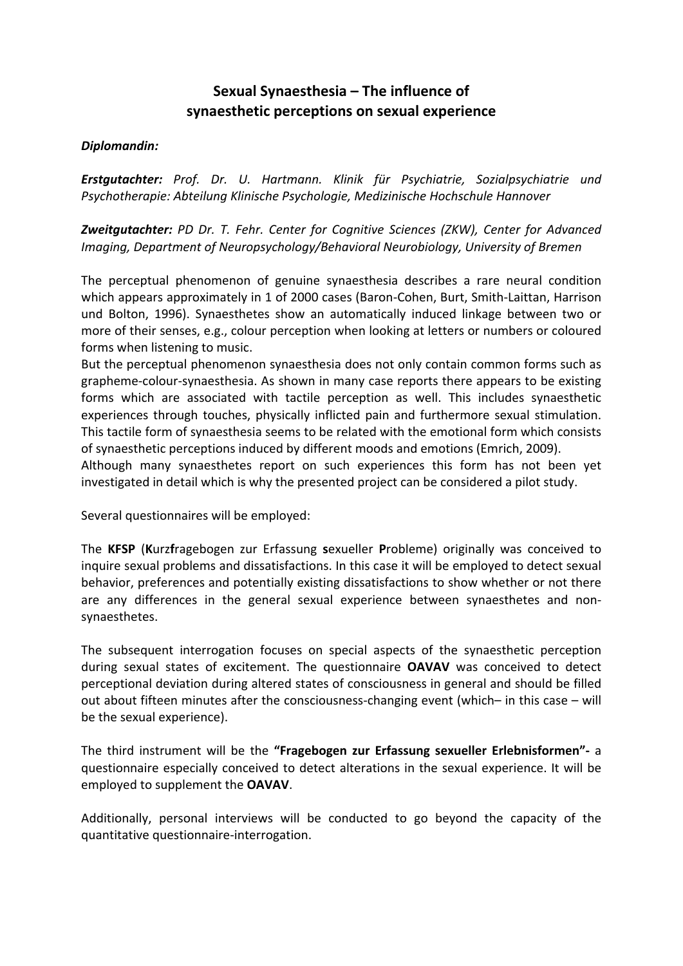## **Sexual Synaesthesia – The influence of synaesthetic perceptions on sexual experience**

## *Diplomandin:*

*Erstgutachter: Prof. Dr. U. Hartmann. Klinik für Psychiatrie, Sozialpsychiatrie und Psychotherapie: Abteilung Klinische Psychologie, Medizinische Hochschule Hannover*

*Zweitgutachter: PD Dr. T. Fehr. Center for Cognitive Sciences (ZKW), Center for Advanced Imaging, Department of Neuropsychology/Behavioral Neurobiology, University of Bremen*

The perceptual phenomenon of genuine synaesthesia describes a rare neural condition which appears approximately in 1 of 2000 cases (Baron‐Cohen, Burt, Smith‐Laittan, Harrison und Bolton, 1996). Synaesthetes show an automatically induced linkage between two or more of their senses, e.g., colour perception when looking at letters or numbers or coloured forms when listening to music.

But the perceptual phenomenon synaesthesia does not only contain common forms such as grapheme‐colour‐synaesthesia. As shown in many case reports there appears to be existing forms which are associated with tactile perception as well. This includes synaesthetic experiences through touches, physically inflicted pain and furthermore sexual stimulation. This tactile form of synaesthesia seems to be related with the emotional form which consists of synaesthetic perceptions induced by different moods and emotions (Emrich, 2009).

Although many synaesthetes report on such experiences this form has not been yet investigated in detail which is why the presented project can be considered a pilot study.

Several questionnaires will be employed:

The **KFSP** (**K**urz**f**ragebogen zur Erfassung **s**exueller **P**robleme) originally was conceived to inquire sexual problems and dissatisfactions. In this case it will be employed to detect sexual behavior, preferences and potentially existing dissatisfactions to show whether or not there are any differences in the general sexual experience between synaesthetes and non‐ synaesthetes.

The subsequent interrogation focuses on special aspects of the synaesthetic perception during sexual states of excitement. The questionnaire **OAVAV** was conceived to detect perceptional deviation during altered states of consciousness in general and should be filled out about fifteen minutes after the consciousness‐changing event (which– in this case – will be the sexual experience).

The third instrument will be the **"Fragebogen zur Erfassung sexueller Erlebnisformen"‐** a questionnaire especially conceived to detect alterations in the sexual experience. It will be employed to supplement the **OAVAV**.

Additionally, personal interviews will be conducted to go beyond the capacity of the quantitative questionnaire‐interrogation.